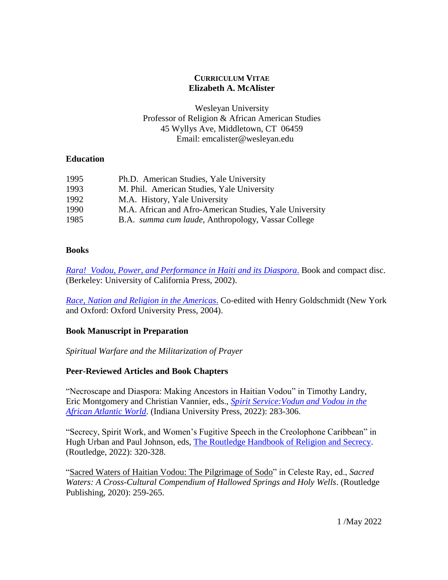# **CURRICULUM VITAE Elizabeth A. McAlister**

Wesleyan University Professor of Religion & African American Studies 45 Wyllys Ave, Middletown, CT 06459 Email: emcalister@wesleyan.edu

# **Education**

| 1995 | Ph.D. American Studies, Yale University                    |
|------|------------------------------------------------------------|
| 1993 | M. Phil. American Studies, Yale University                 |
| 1992 | M.A. History, Yale University                              |
| 1990 | M.A. African and Afro-American Studies, Yale University    |
| 1985 | B.A. <i>summa cum laude</i> , Anthropology, Vassar College |

## **Books**

*[Rara! Vodou, Power, and Performance in Haiti and its Diaspora](http://www.ucpress.edu/book.php?isbn=9780520228238)*[.](http://www.ucpress.edu/book.php?isbn=9780520228238) Book and compact disc. (Berkeley: University of California Press, 2002).

*[Race, Nation and Religion in the Americas](https://global.oup.com/ushe/product/race-nation-and-religion-in-the-americas-9780195149197;jsessionid=A50BD1FDC53E7AE729F1FFE10DCA5DC1?cc=us&lang=en&)*[.](https://global.oup.com/ushe/product/race-nation-and-religion-in-the-americas-9780195149197;jsessionid=A50BD1FDC53E7AE729F1FFE10DCA5DC1?cc=us&lang=en&) Co-edited with Henry Goldschmidt (New York and Oxford: Oxford University Press, 2004).

# **Book Manuscript in Preparation**

*Spiritual Warfare and the Militarization of Prayer*

# **Peer-Reviewed Articles and Book Chapters**

"Necroscape and Diaspora: Making Ancestors in Haitian Vodou" in Timothy Landry, Eric Montgomery and Christian Vannier, eds., *[Spirit Service:Vodun and Vodou in the](https://iupress.org/9780253061911/spirit-service/)  [African Atlantic World](https://iupress.org/9780253061911/spirit-service/)*. (Indiana University Press, 2022): 283-306.

"Secrecy, Spirit Work, and Women's Fugitive Speech in the Creolophone Caribbean" in Hugh Urban and Paul Johnson, eds, [The Routledge Handbook of Religion and Secrecy.](https://www.routledge.com/The-Routledge-Handbook-of-Religion-and-Secrecy/Urban-Johnson/p/book/9780367857417) (Routledge, 2022): 320-328.

["Sacred Waters of Haitian Vodou: The Pilgrimage of Sodo"](https://bit.ly/3t2vZUM) in Celeste Ray, ed., *Sacred Waters: A Cross-Cultural Compendium of Hallowed Springs and Holy Wells*. (Routledge Publishing, 2020): 259-265.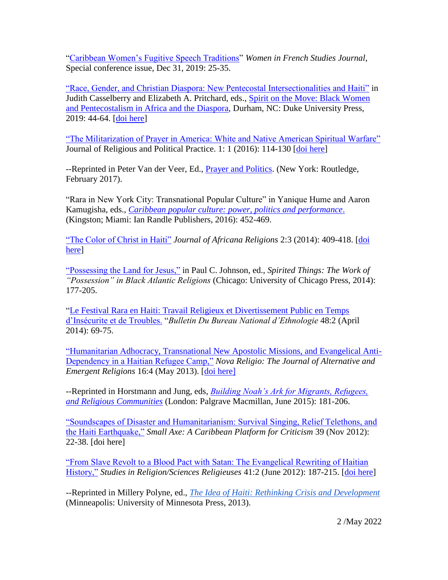["Caribbean Women's Fugitive Speech Traditions"](https://digitalcollections.wesleyan.edu/object/relifp-82) *Women in French Studies Journal*, Special conference issue, Dec 31, 2019: 25-35.

["Race, Gender, and Christian Diaspora: New Pentecostal Intersectionalities and Haiti"](https://digitalcollections.wesleyan.edu/object/relifp-84?) in Judith Casselberry and Elizabeth A. Pritchard, eds., [Spirit on the Move:](https://www.dukeupress.edu/spirit-on-the-move) [Black Women](https://www.dukeupress.edu/spirit-on-the-move)  [and Pentecostalism in Africa and the Diaspora,](https://www.dukeupress.edu/spirit-on-the-move) Durham, NC: Duke University Press, 2019: 44-64. [doi [here\]](https://doi.org/10.1215/9781478002116-003)

["The Militarization of Prayer in America: White and Native American Spiritual Warfare"](https://digitalcollections.wesleyan.edu/islandora/object/relifp:56) Journal of Religious and Political Practice. 1: 1 (2016): 114-130 [\[doi here\]](https://doi.org/10.1080/20566093.2016.1085239)

--Reprinted in Peter Van der Veer, Ed., *Prayer and Politics*. (New York: Routledge, February 2017).

"Rara in New York City: Transnational Popular Culture" in Yanique Hume and Aaron Kamugisha, eds., *[Caribbean popular culture: power, politics and performance](https://ianrandlepublishers.com/product/caribbean-popular-culture-power-politics-and-performance/)*. (Kingston; Miami: Ian Randle Publishers, 2016): 452-469.

["The Color of Christ in Haiti"](https://digitalcollections.wesleyan.edu/islandora/object/relifp:57) *Journal of Africana Religions* 2:3 (2014): 409-418. [\[doi](https://www.jstor.org/stable/10.5325/jafrireli.2.3.0379#metadata_info_tab_contents)  [here\]](https://www.jstor.org/stable/10.5325/jafrireli.2.3.0379#metadata_info_tab_contents)

"Possessing the [Land for Jesus,"](https://digitalcollections.wesleyan.edu/object/relifp-35) in Paul C. Johnson, ed., *Spirited Things: The Work of "Possession" in Black Atlantic Religions* (Chicago: University of Chicago Press, 2014): 177-205.

["Le Festival Rara en Haiti: Travail Religieux et Divertissement Public en Temps](https://digitalcollections.wesleyan.edu/object/relifp-54)  [d'Insécurite et de Troubles.](https://digitalcollections.wesleyan.edu/object/relifp-54) "*Bulletin Du Bureau National d'Ethnologie* 48:2 (April 2014): 69-75.

["Humanitarian Adhocracy, Transnational New Apostolic Missions, and Evangelical Anti-](https://digitalcollections.wesleyan.edu/object/relifp-29)[Dependency in a Haitian Refugee Camp,"](https://digitalcollections.wesleyan.edu/object/relifp-29) *Nova Religio: The Journal of Alternative and Emergent Religions* 16:4 (May 2013). [\[doi here\]](https://doi.org/10.1525/nr.2013.16.4.11)

--Reprinted in Horstmann and Jung, eds, *[Building Noah's Ark for Migrants, Refugees,](https://www.palgrave.com/us/book/9781137501530)  [and Religious Communities](https://www.palgrave.com/us/book/9781137501530)* (London: Palgrave Macmillan, June 2015): 181-206.

["Soundscapes of Disaster and Humanitarianism: Survival Singing, Relief Telethons, and](https://digitalcollections.wesleyan.edu/object/relifp-41)  [the Haiti Earthquake,"](https://digitalcollections.wesleyan.edu/object/relifp-41) *Small Axe: A Caribbean Platform for Criticism* 39 (Nov 2012): 22-38. [doi here]

["From Slave Revolt to a Blood Pact with Satan: The Evangelical Rewriting of Haitian](https://digitalcollections.wesleyan.edu/object/relifp-11)  [History,"](https://digitalcollections.wesleyan.edu/object/relifp-11) *Studies in Religion/Sciences Religieuses* 41:2 (June 2012): 187-215. [\[doi here\]](https://doi.org/10.1177/0008429812441310)

--Reprinted in Millery Polyne, ed., *[The Idea of Haiti: Rethinking Crisis and Development](https://www.upress.umn.edu/book-division/books/the-idea-of-haiti)* (Minneapolis: University of Minnesota Press, 2013).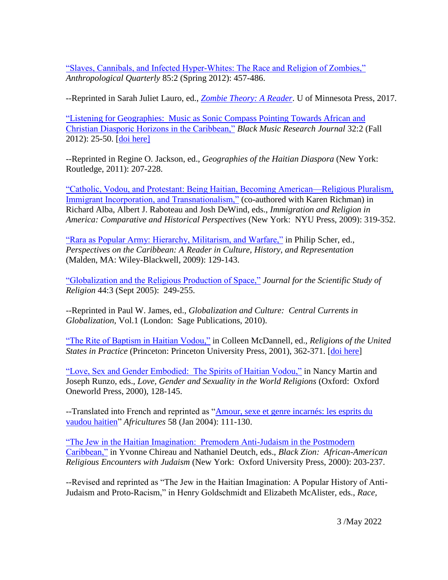["Slaves, Cannibals, and Infected Hyper-Whites: The Race and Religion of Zombies,"](https://digitalcollections.wesleyan.edu/object/relifp-40) *Anthropological Quarterly* 85:2 (Spring 2012): 457-486.

--Reprinted in Sarah Juliet Lauro, ed., *[Zombie Theory: A Reader](https://www.upress.umn.edu/book-division/books/zombie-theory)*. U of Minnesota Press, 2017.

["Listening for Geographies: Music as Sonic Compass Pointing Towards African and](https://digitalcollections.wesleyan.edu/object/relifp-31)  [Christian Diasporic Horizons in the Caribbean,"](https://digitalcollections.wesleyan.edu/object/relifp-31) *Black Music Research Journal* 32:2 (Fall 2012): 25-50. [\[doi here\]](https://doi.org/10.5406/blacmusiresej.32.2.0025)

--Reprinted in Regine O. Jackson, ed., *Geographies of the Haitian Diaspora* (New York: Routledge, 2011): 207-228.

["Catholic, Vodou, and Protestant: Being Haitian, Becoming American—Religious Pluralism,](https://digitalcollections.wesleyan.edu/object/relifp-25)  [Immigrant Incorporation, and Transnationalism,"](https://digitalcollections.wesleyan.edu/object/relifp-25) (co-authored with Karen Richman) in Richard Alba, Albert J. Raboteau and Josh DeWind, eds., *Immigration and Religion in America: Comparative and Historical Perspectives* (New York: NYU Press, 2009): 319-352.

["Rara as Popular Army: Hierarchy, Militarism, and Warfare,"](https://digitalcollections.wesleyan.edu/object/relifp-36) in Philip Scher, ed., *Perspectives on the Caribbean: A Reader in Culture, History, and Representation* (Malden, MA: Wiley-Blackwell, 2009): 129-143.

["Globalization and the Religious Production of Space,"](https://digitalcollections.wesleyan.edu/object/relifp-21?) *Journal for the Scientific Study of Religion* 44:3 (Sept 2005): 249-255.

--Reprinted in Paul W. James, ed., *Globalization and Culture: Central Currents in Globalization*, Vol.1 (London: Sage Publications, 2010).

"The Rite [of Baptism in Haitian Vodou,"](https://digitalcollections.wesleyan.edu/object/relifp-47) in Colleen McDannell, ed., *Religions of the United States in Practice* (Princeton: Princeton University Press, 2001), 362-371. [\[doi here\]](https://doi.org/10.2307/j.ctv346rkb.34)

["Love, Sex and Gender Embodied: The Spirits of Haitian Vodou,"](https://digitalcollections.wesleyan.edu/object/relifp-32) in Nancy Martin and Joseph Runzo, eds., *Love, Gender and Sexuality in the World Religions* (Oxford: Oxford Oneworld Press, 2000), 128-145.

--Translated into French and reprinted as ["Amour, sexe et genre incarnés: les esprits du](http://africultures.com/amour-sexe-et-genre-incarnes-les-esprits-du-vaudou-haitien-3294/?utm_source=newsletter&utm_medium=email&utm_campaign=477)  [vaudou haitien"](http://africultures.com/amour-sexe-et-genre-incarnes-les-esprits-du-vaudou-haitien-3294/?utm_source=newsletter&utm_medium=email&utm_campaign=477) *Africultures* 58 (Jan 2004): 111-130.

["The Jew in the Haitian Imagination: Premodern Anti-Judaism in the Postmodern](https://digitalcollections.wesleyan.edu/object/relifp-44)  [Caribbean,"](https://digitalcollections.wesleyan.edu/object/relifp-44) in Yvonne Chireau and Nathaniel Deutch, eds., *Black Zion: African-American Religious Encounters with Judaism* (New York: Oxford University Press, 2000): 203-237.

--Revised and reprinted as "The Jew in the Haitian Imagination: A Popular History of Anti-Judaism and Proto-Racism," in Henry Goldschmidt and Elizabeth McAlister, eds., *Race,*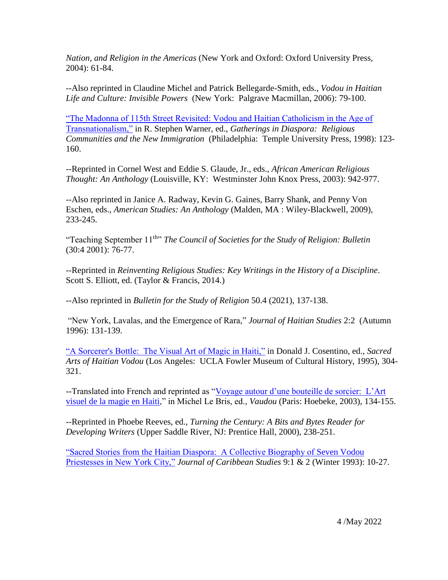*Nation, and Religion in the Americas* (New York and Oxford: Oxford University Press, 2004): 61-84.

--Also reprinted in Claudine Michel and Patrick Bellegarde-Smith, eds., *Vodou in Haitian Life and Culture: Invisible Powers* (New York: Palgrave Macmillan, 2006): 79-100.

["The Madonna of 115th Street Revisited: Vodou and Haitian Catholicism in the Age of](https://digitalcollections.wesleyan.edu/object/relifp-46)  [Transnationalism,"](https://digitalcollections.wesleyan.edu/object/relifp-46) in R. Stephen Warner, ed., *Gatherings in Diaspora: Religious Communities and the New Immigration* (Philadelphia: Temple University Press, 1998): 123- 160.

--Reprinted in Cornel West and Eddie S. Glaude, Jr., eds., *African American Religious Thought: An Anthology* (Louisville, KY: Westminster John Knox Press, 2003): 942-977.

--Also reprinted in Janice A. Radway, Kevin G. Gaines, Barry Shank, and Penny Von Eschen, eds., *American Studies: An Anthology* (Malden, MA : Wiley-Blackwell, 2009), 233-245.

"Teaching September 11th" *The Council of Societies for the Study of Religion: Bulletin* (30:4 2001): 76-77.

--Reprinted in *Reinventing Religious Studies: Key Writings in the History of a Discipline*. Scott S. Elliott, ed. (Taylor & Francis, 2014.)

--Also reprinted in *Bulletin for the Study of Religion* 50.4 (2021), 137-138.

"New York, Lavalas, and the Emergence of Rara," *Journal of Haitian Studies* 2:2 (Autumn 1996): 131-139.

["A Sorcerer's Bottle: The Visual Art of Magic in Haiti,"](https://digitalcollections.wesleyan.edu/object/relifp-22) in Donald J. Cosentino, ed., *Sacred Arts of Haitian Vodou* (Los Angeles: UCLA Fowler Museum of Cultural History, 1995), 304- 321.

--Translated into French and reprinted as ["Voyage autour d'une bouteille de sorcier: L'Art](https://www.academia.edu/45029329/Voyage_auteur_d_une_bouteille_de_sorcier_L_Art_visuel_de_la_magie_en_Haiti)  [visuel de la magie en Haiti,](https://www.academia.edu/45029329/Voyage_auteur_d_une_bouteille_de_sorcier_L_Art_visuel_de_la_magie_en_Haiti)" in Michel Le Bris, ed., *Vaudou* (Paris: Hoebeke, 2003), 134-155.

--Reprinted in Phoebe Reeves, ed., *Turning the Century: A Bits and Bytes Reader for Developing Writers* (Upper Saddle River, NJ: Prentice Hall, 2000), 238-251.

["Sacred Stories from the Haitian Diaspora: A Collective Biography of Seven Vodou](https://digitalcollections.wesleyan.edu/object/relifp-39)  [Priestesses in New York City,"](https://digitalcollections.wesleyan.edu/object/relifp-39) *Journal of Caribbean Studies* 9:1 & 2 (Winter 1993): 10-27.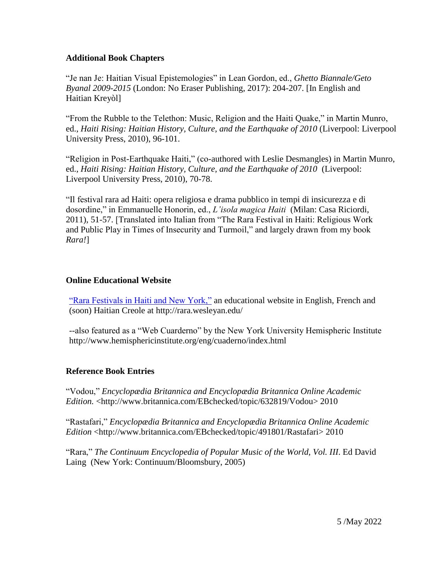#### **Additional Book Chapters**

"Je nan Je: Haitian Visual Epistemologies" in Lean Gordon, ed., *Ghetto Biannale/Geto Byanal 2009-2015* (London: No Eraser Publishing, 2017): 204-207. [In English and Haitian Kreyòl]

"From the Rubble to the Telethon: Music, Religion and the Haiti Quake," in Martin Munro, ed., *Haiti Rising: Haitian History, Culture, and the Earthquake of 2010* (Liverpool: Liverpool University Press, 2010), 96-101.

"Religion in Post-Earthquake Haiti," (co-authored with Leslie Desmangles) in Martin Munro, ed., *Haiti Rising: Haitian History, Culture, and the Earthquake of 2010* (Liverpool: Liverpool University Press, 2010), 70-78.

"Il festival rara ad Haiti: opera religiosa e drama pubblico in tempi di insicurezza e di dosordine," in Emmanuelle Honorin, ed., *L'isola magica Haiti* (Milan: Casa Riciordi, 2011), 51-57. [Translated into Italian from "The Rara Festival in Haiti: Religious Work and Public Play in Times of Insecurity and Turmoil," and largely drawn from my book *Rara!*]

## **Online Educational Website**

["Rara Festivals in Haiti and New York,"](http://rara.research.wesleyan.edu/) an educational website in English, French and (soon) Haitian Creole at<http://rara.wesleyan.edu/>

--also featured as a "Web Cuarderno" by the New York University Hemispheric Institute http://www.hemisphericinstitute.org/eng/cuaderno/index.html

# **Reference Book Entries**

"Vodou," *Encyclopædia Britannica and Encyclopædia Britannica Online Academic Edition.* [<http://www.britannica.com/EBchecked/topic/632819/Vodou>](http://www.britannica.com/EBchecked/topic/632819/Vodou) 2010

"Rastafari," *Encyclopædia Britannica and Encyclopædia Britannica Online Academic Edition* <http://www.britannica.com/EBchecked/topic/491801/Rastafari> 2010

"Rara," *The Continuum Encyclopedia of Popular Music of the World, Vol. III*. Ed David Laing (New York: Continuum/Bloomsbury, 2005)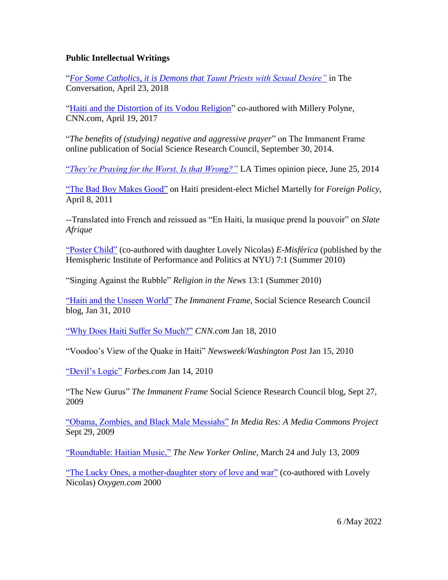## **Public Intellectual Writings**

"*[For Some Catholics, it is Demons that Taunt Priests with Sexual Desire"](https://theconversation.com/for-some-catholics-it-is-demons-that-taunt-priests-with-sexual-desire-101935)* in The Conversation, April 23, 2018

["Haiti and the Distortion of its Vodou Religion"](http://bit.ly/VodouPolyneMcAlister) co-authored with Millery Polyne, CNN.com, April 19, 2017

"*The benefits of (studying) negative and aggressive prayer*" on The Immanent Frame online publication of Social Science Research Council, September 30, 2014.

["](https://www.latimes.com/opinion/op-ed/la-oe-mcalister-negative-prayer-20140625-story.html)*[They're Praying for the Worst. Is that Wrong?"](https://www.latimes.com/opinion/op-ed/la-oe-mcalister-negative-prayer-20140625-story.html)* LA Times opinion piece, June 25, 2014

["The Bad Boy Makes Good"](https://foreignpolicy.com/2011/04/08/the-bad-boy-makes-good/) on Haiti president-elect Michel Martelly for *Foreign Policy*, April 8, 2011

--Translated into French and reissued as "En Haiti, la musique prend la pouvoir" on *Slate Afrique*

["Poster Child"](http://hemi.nyu.edu/hemi/en/e-misferica-71/mcalister) (co-authored with daughter Lovely Nicolas) *E-Misf*é*rica* (published by the Hemispheric Institute of Performance and Politics at NYU) 7:1 (Summer 2010)

"Singing Against the Rubble" *Religion in the News* 13:1 (Summer 2010)

["Haiti and the Unseen World"](https://digitalcollections.wesleyan.edu/object/relifp-27?) *The Immanent Frame*, Social Science Research Council blog, Jan 31, 2010

["Why Does Haiti Suffer So Much?"](https://www.cnn.com/2010/OPINION/01/18/mcalister.haiti.faith/index.html) *CNN.com* Jan 18, 2010

"Voodoo's View of the Quake in Haiti" *Newsweek*/*Washington Post* Jan 15, 2010

["Devil's Logic"](https://www.forbes.com/2010/01/14/haiti-earthquake-pat-robertson-opinions-contributors-elizabeth-mcalister.html#3bb19c124c4d) *Forbes.com* Jan 14, 2010

"The New Gurus" *The Immanent Frame* Social Science Research Council blog, Sept 27, 2009

["Obama, Zombies, and Black Male Messiahs"](http://mediacommons.org/imr/2009/09/29/black-zombie-killers) *In Media Res: A Media Commons Project* Sept 29, 2009

["Roundtable: Haitian Music,"](https://www.newyorker.com/culture/sasha-frere-jones/roundtable-haitian-music) *The New Yorker Online*, March 24 and July 13, 2009

["The Lucky Ones, a mother-daughter story of love and war"](https://digitalcollections.wesleyan.edu/object/relifp-45?) (co-authored with Lovely Nicolas) *Oxygen.com* 2000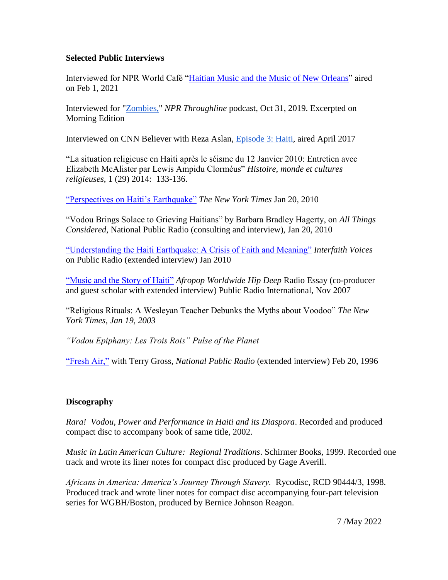#### **Selected Public Interviews**

Interviewed for NPR World Café ["Haitian Music and the Music of New Orleans"](https://www.npr.org/sections/world-cafe/2021/02/01/961147801/playlist-haitian-rhythms-and-the-music-of-new-orleans) aired on Feb 1, 2021

Interviewed for ["Zombies,"](https://www.npr.org/2019/10/30/774809210/zombies) *NPR [T](https://www.npr.org/podcasts/510333/throughline)hroughline* podcast, Oct 31, 2019. Excerpted on Morning Edition

Interviewed on [C](http://www.cnn.com/shows/believer)NN Believer with Reza Aslan, [Episode 3: Haiti,](https://www.youtube.com/watch?v=dF09BO-In8k) aired April 2017

"La situation religieuse en Haiti après le séisme du 12 Janvier 2010: Entretien avec Elizabeth McAlister par Lewis Ampidu Clorméus" *Histoire, monde et cultures religieuses*, 1 (29) 2014: 133-136.

["Perspectives on Haiti's Earthquake"](https://archive.nytimes.com/www.nytimes.com/interactive/world/haitivoices.html) *The New York Times* Jan 20, 2010

"Vodou Brings Solace to Grieving Haitians" by Barbara Bradley Hagerty, on *All Things Considered*, National Public Radio (consulting and interview), Jan 20, 2010

["Understanding the Haiti Earthquake: A Crisis of Faith and Meaning"](https://interfaithradio.org/Archive/2010-January/Understanding_the_Haiti_Earthquake) *Interfaith Voices* on Public Radio (extended interview) Jan 2010

"Music and [the Story of Haiti"](http://emcalister.faculty.wesleyan.edu/files/2008/10/music-and-the-story-of-haiti.mp3) *Afropop Worldwide Hip Deep* Radio Essay (co-producer and guest scholar with extended interview) Public Radio International, Nov 2007

"Religious Rituals: A Wesleyan Teacher Debunks the Myths about Voodoo" *The New York Times, Jan 19, 2003*

*"Vodou Epiphany: Les Trois Rois" Pulse of the Planet*

["Fresh Air,"](https://freshairarchive.org/segments/haitian-vodou-music-and-ritual) with Terry Gross, *National Public Radio* (extended interview) Feb 20, 1996

## **Discography**

*Rara! Vodou, Power and Performance in Haiti and its Diaspora*. Recorded and produced compact disc to accompany book of same title, 2002.

*Music in Latin American Culture: Regional Traditions*. Schirmer Books, 1999. Recorded one track and wrote its liner notes for compact disc produced by Gage Averill.

*Africans in America: America's Journey Through Slavery.* Rycodisc, RCD 90444/3, 1998. Produced track and wrote liner notes for compact disc accompanying four-part television series for WGBH/Boston, produced by Bernice Johnson Reagon.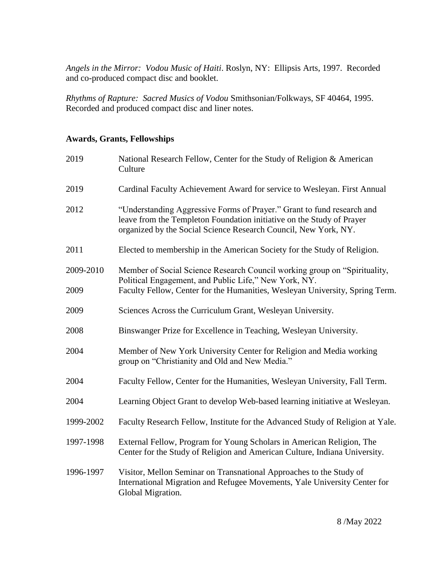*Angels in the Mirror: Vodou Music of Haiti*. Roslyn, NY: Ellipsis Arts, 1997. Recorded and co-produced compact disc and booklet.

*Rhythms of Rapture: Sacred Musics of Vodou* Smithsonian/Folkways, SF 40464, 1995. Recorded and produced compact disc and liner notes.

# **Awards, Grants, Fellowships**

| 2019      | National Research Fellow, Center for the Study of Religion & American<br>Culture                                                                                                                                   |
|-----------|--------------------------------------------------------------------------------------------------------------------------------------------------------------------------------------------------------------------|
| 2019      | Cardinal Faculty Achievement Award for service to Wesleyan. First Annual                                                                                                                                           |
| 2012      | "Understanding Aggressive Forms of Prayer." Grant to fund research and<br>leave from the Templeton Foundation initiative on the Study of Prayer<br>organized by the Social Science Research Council, New York, NY. |
| 2011      | Elected to membership in the American Society for the Study of Religion.                                                                                                                                           |
| 2009-2010 | Member of Social Science Research Council working group on "Spirituality,<br>Political Engagement, and Public Life," New York, NY.                                                                                 |
| 2009      | Faculty Fellow, Center for the Humanities, Wesleyan University, Spring Term.                                                                                                                                       |
| 2009      | Sciences Across the Curriculum Grant, Wesleyan University.                                                                                                                                                         |
| 2008      | Binswanger Prize for Excellence in Teaching, Wesleyan University.                                                                                                                                                  |
| 2004      | Member of New York University Center for Religion and Media working<br>group on "Christianity and Old and New Media."                                                                                              |
| 2004      | Faculty Fellow, Center for the Humanities, Wesleyan University, Fall Term.                                                                                                                                         |
| 2004      | Learning Object Grant to develop Web-based learning initiative at Wesleyan.                                                                                                                                        |
| 1999-2002 | Faculty Research Fellow, Institute for the Advanced Study of Religion at Yale.                                                                                                                                     |
| 1997-1998 | External Fellow, Program for Young Scholars in American Religion, The<br>Center for the Study of Religion and American Culture, Indiana University.                                                                |
| 1996-1997 | Visitor, Mellon Seminar on Transnational Approaches to the Study of<br>International Migration and Refugee Movements, Yale University Center for<br>Global Migration.                                              |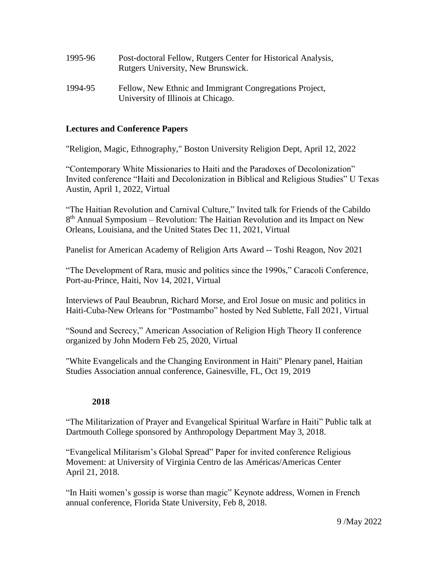| 1995-96 | Post-doctoral Fellow, Rutgers Center for Historical Analysis,<br>Rutgers University, New Brunswick. |
|---------|-----------------------------------------------------------------------------------------------------|
| 1994-95 | Fellow, New Ethnic and Immigrant Congregations Project,                                             |

University of Illinois at Chicago.

#### **Lectures and Conference Papers**

"Religion, Magic, Ethnography," Boston University Religion Dept, April 12, 2022

"Contemporary White Missionaries to Haiti and the Paradoxes of Decolonization" Invited conference "Haiti and Decolonization in Biblical and Religious Studies" U Texas Austin, April 1, 2022, Virtual

"The Haitian Revolution and Carnival Culture," Invited talk for Friends of the Cabildo 8<sup>th</sup> Annual Symposium – Revolution: The Haitian Revolution and its Impact on New Orleans, Louisiana, and the United States Dec 11, 2021, Virtual

Panelist for American Academy of Religion Arts Award -- Toshi Reagon, Nov 2021

"The Development of Rara, music and politics since the 1990s," Caracoli Conference, Port-au-Prince, Haiti, Nov 14, 2021, Virtual

Interviews of Paul Beaubrun, Richard Morse, and Erol Josue on music and politics in Haiti-Cuba-New Orleans for "Postmambo" hosted by Ned Sublette, Fall 2021, Virtual

"Sound and Secrecy," American Association of Religion High Theory II conference organized by John Modern Feb 25, 2020, Virtual

"White Evangelicals and the Changing Environment in Haiti" Plenary panel, Haitian Studies Association annual conference, Gainesville, FL, Oct 19, 2019

#### **2018**

"The Militarization of Prayer and Evangelical Spiritual Warfare in Haiti" Public talk at Dartmouth College sponsored by Anthropology Department May 3, 2018.

"Evangelical Militarism's Global Spread" Paper for invited conference Religious Movement: at University of Virginia Centro de las Américas/Americas Center April 21, 2018.

"In Haiti women's gossip is worse than magic" Keynote address, Women in French annual conference, Florida State University, Feb 8, 2018.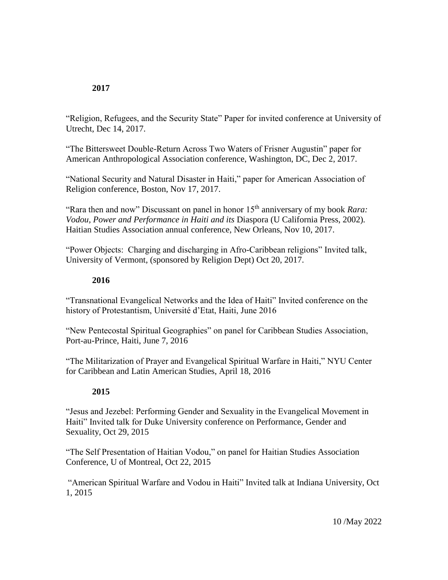#### **2017**

"Religion, Refugees, and the Security State" Paper for invited conference at University of Utrecht, Dec 14, 2017.

"The Bittersweet Double-Return Across Two Waters of Frisner Augustin" paper for American Anthropological Association conference, Washington, DC, Dec 2, 2017.

"National Security and Natural Disaster in Haiti," paper for American Association of Religion conference, Boston, Nov 17, 2017.

"Rara then and now" Discussant on panel in honor 15<sup>th</sup> anniversary of my book *Rara*: *Vodou, Power and Performance in Haiti and its* Diaspora (U California Press, 2002)*.* Haitian Studies Association annual conference, New Orleans, Nov 10, 2017.

"Power Objects: Charging and discharging in Afro-Caribbean religions" Invited talk, University of Vermont, (sponsored by Religion Dept) Oct 20, 2017.

#### **2016**

"Transnational Evangelical Networks and the Idea of Haiti" Invited conference on the history of Protestantism, Université d'Etat, Haiti, June 2016

"New Pentecostal Spiritual Geographies" on panel for Caribbean Studies Association, Port-au-Prince, Haiti, June 7, 2016

"The Militarization of Prayer and Evangelical Spiritual Warfare in Haiti," NYU Center for Caribbean and Latin American Studies, April 18, 2016

## **2015**

"Jesus and Jezebel: Performing Gender and Sexuality in the Evangelical Movement in Haiti" Invited talk for Duke University conference on Performance, Gender and Sexuality, Oct 29, 2015

"The Self Presentation of Haitian Vodou," on panel for Haitian Studies Association Conference, U of Montreal, Oct 22, 2015

"American Spiritual Warfare and Vodou in Haiti" Invited talk at Indiana University, Oct 1, 2015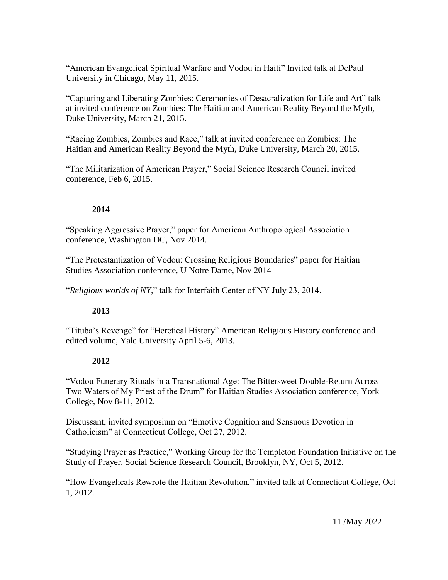"American Evangelical Spiritual Warfare and Vodou in Haiti" Invited talk at DePaul University in Chicago, May 11, 2015.

"Capturing and Liberating Zombies: Ceremonies of Desacralization for Life and Art" talk at invited conference on Zombies: The Haitian and American Reality Beyond the Myth, Duke University, March 21, 2015.

"Racing Zombies, Zombies and Race," talk at invited conference on Zombies: The Haitian and American Reality Beyond the Myth, Duke University, March 20, 2015.

"The Militarization of American Prayer," Social Science Research Council invited conference, Feb 6, 2015.

# **2014**

"Speaking Aggressive Prayer," paper for American Anthropological Association conference, Washington DC, Nov 2014.

"The Protestantization of Vodou: Crossing Religious Boundaries" paper for Haitian Studies Association conference, U Notre Dame, Nov 2014

"*Religious worlds of NY*," talk for Interfaith Center of NY July 23, 2014.

## **2013**

"Tituba's Revenge" for "Heretical History" American Religious History conference and edited volume, Yale University April 5-6, 2013.

## **2012**

"Vodou Funerary Rituals in a Transnational Age: The Bittersweet Double-Return Across Two Waters of My Priest of the Drum" for Haitian Studies Association conference, York College, Nov 8-11, 2012.

Discussant, invited symposium on "Emotive Cognition and Sensuous Devotion in Catholicism" at Connecticut College, Oct 27, 2012.

"Studying Prayer as Practice," Working Group for the Templeton Foundation Initiative on the Study of Prayer, Social Science Research Council, Brooklyn, NY, Oct 5, 2012.

"How Evangelicals Rewrote the Haitian Revolution," invited talk at Connecticut College, Oct 1, 2012.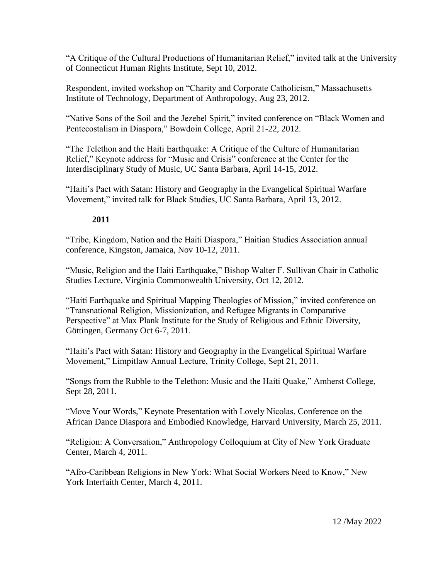"A Critique of the Cultural Productions of Humanitarian Relief," invited talk at the University of Connecticut Human Rights Institute, Sept 10, 2012.

Respondent, invited workshop on "Charity and Corporate Catholicism," Massachusetts Institute of Technology, Department of Anthropology, Aug 23, 2012.

"Native Sons of the Soil and the Jezebel Spirit," invited conference on "Black Women and Pentecostalism in Diaspora," Bowdoin College, April 21-22, 2012.

"The Telethon and the Haiti Earthquake: A Critique of the Culture of Humanitarian Relief," Keynote address for "Music and Crisis" conference at the Center for the Interdisciplinary Study of Music, UC Santa Barbara, April 14-15, 2012.

"Haiti's Pact with Satan: History and Geography in the Evangelical Spiritual Warfare Movement," invited talk for Black Studies, UC Santa Barbara, April 13, 2012.

## **2011**

"Tribe, Kingdom, Nation and the Haiti Diaspora," Haitian Studies Association annual conference, Kingston, Jamaica, Nov 10-12, 2011.

"Music, Religion and the Haiti Earthquake," Bishop Walter F. Sullivan Chair in Catholic Studies Lecture, Virginia Commonwealth University, Oct 12, 2012.

"Haiti Earthquake and Spiritual Mapping Theologies of Mission," invited conference on "Transnational Religion, Missionization, and Refugee Migrants in Comparative Perspective" at Max Plank Institute for the Study of Religious and Ethnic Diversity, Göttingen, Germany Oct 6-7, 2011.

"Haiti's Pact with Satan: History and Geography in the Evangelical Spiritual Warfare Movement," Limpitlaw Annual Lecture, Trinity College, Sept 21, 2011.

"Songs from the Rubble to the Telethon: Music and the Haiti Quake," Amherst College, Sept 28, 2011.

"Move Your Words," Keynote Presentation with Lovely Nicolas, Conference on the African Dance Diaspora and Embodied Knowledge, Harvard University, March 25, 2011.

"Religion: A Conversation," Anthropology Colloquium at City of New York Graduate Center, March 4, 2011.

"Afro-Caribbean Religions in New York: What Social Workers Need to Know," New York Interfaith Center, March 4, 2011.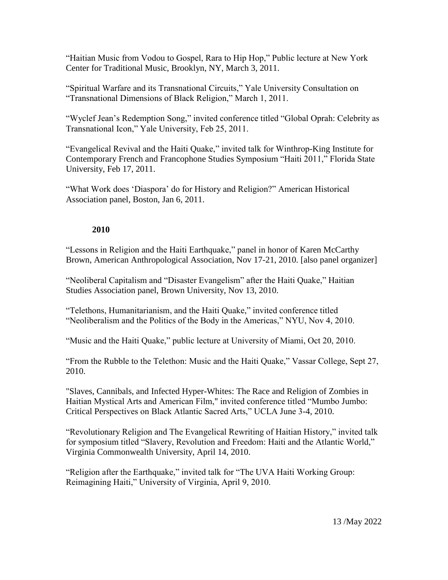"Haitian Music from Vodou to Gospel, Rara to Hip Hop," Public lecture at New York Center for Traditional Music, Brooklyn, NY, March 3, 2011.

"Spiritual Warfare and its Transnational Circuits," Yale University Consultation on "Transnational Dimensions of Black Religion," March 1, 2011.

"Wyclef Jean's Redemption Song," invited conference titled "Global Oprah: Celebrity as Transnational Icon," Yale University, Feb 25, 2011.

"Evangelical Revival and the Haiti Quake," invited talk for Winthrop-King Institute for Contemporary French and Francophone Studies Symposium "Haiti 2011," Florida State University, Feb 17, 2011.

"What Work does 'Diaspora' do for History and Religion?" American Historical Association panel, Boston, Jan 6, 2011.

## **2010**

"Lessons in Religion and the Haiti Earthquake," panel in honor of Karen McCarthy Brown, American Anthropological Association, Nov 17-21, 2010. [also panel organizer]

"Neoliberal Capitalism and "Disaster Evangelism" after the Haiti Quake," Haitian Studies Association panel, Brown University, Nov 13, 2010.

"Telethons, Humanitarianism, and the Haiti Quake," invited conference titled "Neoliberalism and the Politics of the Body in the Americas," NYU, Nov 4, 2010.

"Music and the Haiti Quake," public lecture at University of Miami, Oct 20, 2010.

"From the Rubble to the Telethon: Music and the Haiti Quake," Vassar College, Sept 27, 2010.

"Slaves, Cannibals, and Infected Hyper-Whites: The Race and Religion of Zombies in Haitian Mystical Arts and American Film," invited conference titled "Mumbo Jumbo: Critical Perspectives on Black Atlantic Sacred Arts," UCLA June 3-4, 2010.

"Revolutionary Religion and The Evangelical Rewriting of Haitian History," invited talk for symposium titled "Slavery, Revolution and Freedom: Haiti and the Atlantic World," Virginia Commonwealth University, April 14, 2010.

"Religion after the Earthquake," invited talk for "The UVA Haiti Working Group: Reimagining Haiti," University of Virginia, April 9, 2010.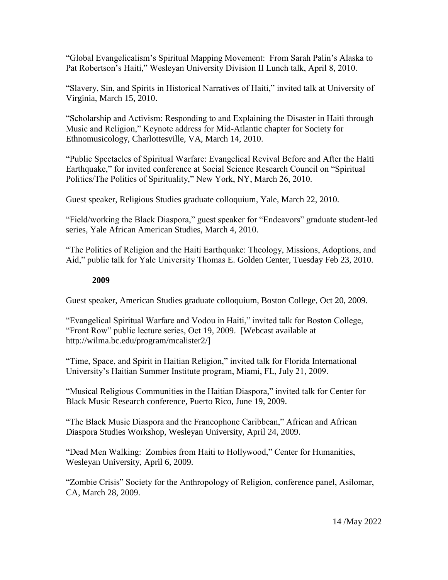"Global Evangelicalism's Spiritual Mapping Movement: From Sarah Palin's Alaska to Pat Robertson's Haiti," Wesleyan University Division II Lunch talk, April 8, 2010.

"Slavery, Sin, and Spirits in Historical Narratives of Haiti," invited talk at University of Virginia, March 15, 2010.

"Scholarship and Activism: Responding to and Explaining the Disaster in Haiti through Music and Religion," Keynote address for Mid-Atlantic chapter for Society for Ethnomusicology, Charlottesville, VA, March 14, 2010.

"Public Spectacles of Spiritual Warfare: Evangelical Revival Before and After the Haiti Earthquake," for invited conference at Social Science Research Council on "Spiritual Politics/The Politics of Spirituality," New York, NY, March 26, 2010.

Guest speaker, Religious Studies graduate colloquium, Yale, March 22, 2010.

"Field/working the Black Diaspora," guest speaker for "Endeavors" graduate student-led series, Yale African American Studies, March 4, 2010.

"The Politics of Religion and the Haiti Earthquake: Theology, Missions, Adoptions, and Aid," public talk for Yale University Thomas E. Golden Center, Tuesday Feb 23, 2010.

## **2009**

Guest speaker, American Studies graduate colloquium, Boston College, Oct 20, 2009.

"Evangelical Spiritual Warfare and Vodou in Haiti," invited talk for Boston College, "Front Row" public lecture series, Oct 19, 2009. [Webcast available at http://wilma.bc.edu/program/mcalister2/]

"Time, Space, and Spirit in Haitian Religion," invited talk for Florida International University's Haitian Summer Institute program, Miami, FL, July 21, 2009.

"Musical Religious Communities in the Haitian Diaspora," invited talk for Center for Black Music Research conference, Puerto Rico, June 19, 2009.

"The Black Music Diaspora and the Francophone Caribbean," African and African Diaspora Studies Workshop, Wesleyan University, April 24, 2009.

"Dead Men Walking: Zombies from Haiti to Hollywood," Center for Humanities, Wesleyan University, April 6, 2009.

"Zombie Crisis" Society for the Anthropology of Religion, conference panel, Asilomar, CA, March 28, 2009.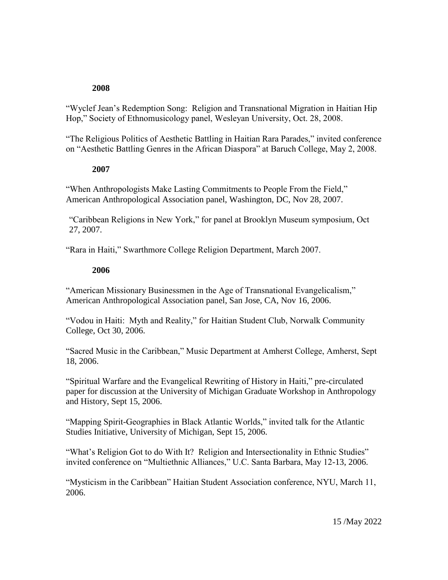#### **2008**

"Wyclef Jean's Redemption Song: Religion and Transnational Migration in Haitian Hip Hop," Society of Ethnomusicology panel, Wesleyan University, Oct. 28, 2008.

"The Religious Politics of Aesthetic Battling in Haitian Rara Parades," invited conference on "Aesthetic Battling Genres in the African Diaspora" at Baruch College, May 2, 2008.

#### **2007**

"When Anthropologists Make Lasting Commitments to People From the Field," American Anthropological Association panel, Washington, DC, Nov 28, 2007.

"Caribbean Religions in New York," for panel at Brooklyn Museum symposium, Oct 27, 2007.

"Rara in Haiti," Swarthmore College Religion Department, March 2007.

#### **2006**

"American Missionary Businessmen in the Age of Transnational Evangelicalism," American Anthropological Association panel, San Jose, CA, Nov 16, 2006.

"Vodou in Haiti: Myth and Reality," for Haitian Student Club, Norwalk Community College, Oct 30, 2006.

"Sacred Music in the Caribbean," Music Department at Amherst College, Amherst, Sept 18, 2006.

"Spiritual Warfare and the Evangelical Rewriting of History in Haiti," pre-circulated paper for discussion at the University of Michigan Graduate Workshop in Anthropology and History, Sept 15, 2006.

"Mapping Spirit-Geographies in Black Atlantic Worlds," invited talk for the Atlantic Studies Initiative, University of Michigan, Sept 15, 2006.

"What's Religion Got to do With It? Religion and Intersectionality in Ethnic Studies" invited conference on "Multiethnic Alliances," U.C. Santa Barbara, May 12-13, 2006.

"Mysticism in the Caribbean" Haitian Student Association conference, NYU, March 11, 2006.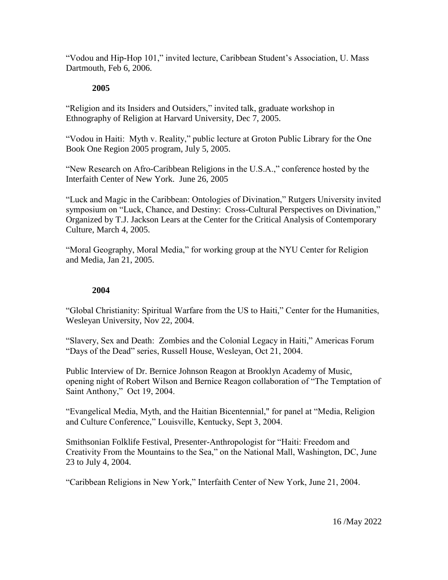"Vodou and Hip-Hop 101," invited lecture, Caribbean Student's Association, U. Mass Dartmouth, Feb 6, 2006.

#### **2005**

"Religion and its Insiders and Outsiders," invited talk, graduate workshop in Ethnography of Religion at Harvard University, Dec 7, 2005.

"Vodou in Haiti: Myth v. Reality," public lecture at Groton Public Library for the One Book One Region 2005 program, July 5, 2005.

"New Research on Afro-Caribbean Religions in the U.S.A.," conference hosted by the Interfaith Center of New York. June 26, 2005

"Luck and Magic in the Caribbean: Ontologies of Divination," Rutgers University invited symposium on "Luck, Chance, and Destiny: Cross-Cultural Perspectives on Divination," Organized by T.J. Jackson Lears at the Center for the Critical Analysis of Contemporary Culture, March 4, 2005.

"Moral Geography, Moral Media," for working group at the NYU Center for Religion and Media, Jan 21, 2005.

#### **2004**

"Global Christianity: Spiritual Warfare from the US to Haiti," Center for the Humanities, Wesleyan University, Nov 22, 2004.

"Slavery, Sex and Death: Zombies and the Colonial Legacy in Haiti," Americas Forum "Days of the Dead" series, Russell House, Wesleyan, Oct 21, 2004.

Public Interview of Dr. Bernice Johnson Reagon at Brooklyn Academy of Music, opening night of Robert Wilson and Bernice Reagon collaboration of "The Temptation of Saint Anthony," Oct 19, 2004.

"Evangelical Media, Myth, and the Haitian Bicentennial," for panel at "Media, Religion and Culture Conference," Louisville, Kentucky, Sept 3, 2004.

Smithsonian Folklife Festival, Presenter-Anthropologist for "Haiti: Freedom and Creativity From the Mountains to the Sea," on the National Mall, Washington, DC, June 23 to July 4, 2004.

"Caribbean Religions in New York," Interfaith Center of New York, June 21, 2004.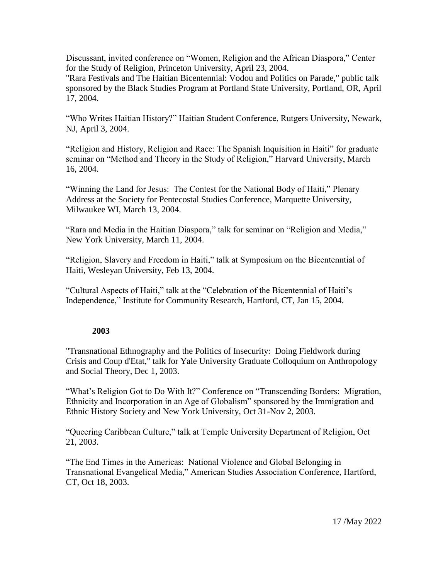Discussant, invited conference on "Women, Religion and the African Diaspora," Center for the Study of Religion, Princeton University, April 23, 2004.

"Rara Festivals and The Haitian Bicentennial: Vodou and Politics on Parade," public talk sponsored by the Black Studies Program at Portland State University, Portland, OR, April 17, 2004.

"Who Writes Haitian History?" Haitian Student Conference, Rutgers University, Newark, NJ, April 3, 2004.

"Religion and History, Religion and Race: The Spanish Inquisition in Haiti" for graduate seminar on "Method and Theory in the Study of Religion," Harvard University, March 16, 2004.

"Winning the Land for Jesus: The Contest for the National Body of Haiti," Plenary Address at the Society for Pentecostal Studies Conference, Marquette University, Milwaukee WI, March 13, 2004.

"Rara and Media in the Haitian Diaspora," talk for seminar on "Religion and Media," New York University, March 11, 2004.

"Religion, Slavery and Freedom in Haiti," talk at Symposium on the Bicentenntial of Haiti, Wesleyan University, Feb 13, 2004.

"Cultural Aspects of Haiti," talk at the "Celebration of the Bicentennial of Haiti's Independence," Institute for Community Research, Hartford, CT, Jan 15, 2004.

## **2003**

"Transnational Ethnography and the Politics of Insecurity: Doing Fieldwork during Crisis and Coup d'Etat," talk for Yale University Graduate Colloquium on Anthropology and Social Theory, Dec 1, 2003.

"What's Religion Got to Do With It?" Conference on "Transcending Borders: Migration, Ethnicity and Incorporation in an Age of Globalism" sponsored by the Immigration and Ethnic History Society and New York University, Oct 31-Nov 2, 2003.

"Queering Caribbean Culture," talk at Temple University Department of Religion, Oct 21, 2003.

"The End Times in the Americas: National Violence and Global Belonging in Transnational Evangelical Media," American Studies Association Conference, Hartford, CT, Oct 18, 2003.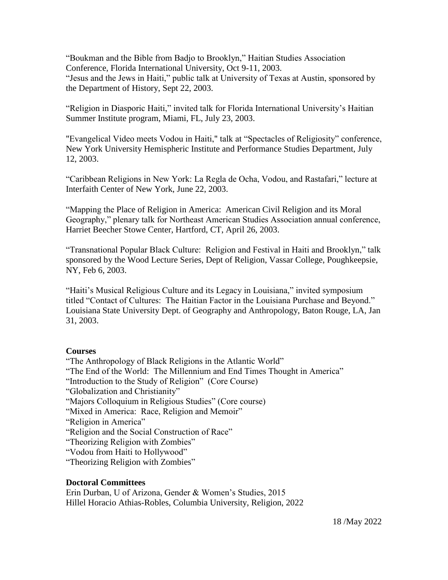"Boukman and the Bible from Badjo to Brooklyn," Haitian Studies Association Conference, Florida International University, Oct 9-11, 2003. "Jesus and the Jews in Haiti," public talk at University of Texas at Austin, sponsored by the Department of History, Sept 22, 2003.

"Religion in Diasporic Haiti," invited talk for Florida International University's Haitian Summer Institute program, Miami, FL, July 23, 2003.

"Evangelical Video meets Vodou in Haiti," talk at "Spectacles of Religiosity" conference, New York University Hemispheric Institute and Performance Studies Department, July 12, 2003.

"Caribbean Religions in New York: La Regla de Ocha, Vodou, and Rastafari," lecture at Interfaith Center of New York, June 22, 2003.

"Mapping the Place of Religion in America: American Civil Religion and its Moral Geography," plenary talk for Northeast American Studies Association annual conference, Harriet Beecher Stowe Center, Hartford, CT, April 26, 2003.

"Transnational Popular Black Culture: Religion and Festival in Haiti and Brooklyn," talk sponsored by the Wood Lecture Series, Dept of Religion, Vassar College, Poughkeepsie, NY, Feb 6, 2003.

"Haiti's Musical Religious Culture and its Legacy in Louisiana," invited symposium titled "Contact of Cultures: The Haitian Factor in the Louisiana Purchase and Beyond." Louisiana State University Dept. of Geography and Anthropology, Baton Rouge, LA, Jan 31, 2003.

#### **Courses**

"The Anthropology of Black Religions in the Atlantic World" "The End of the World: The Millennium and End Times Thought in America" "Introduction to the Study of Religion" (Core Course) "Globalization and Christianity" "Majors Colloquium in Religious Studies" (Core course) "Mixed in America: Race, Religion and Memoir" "Religion in America" "Religion and the Social Construction of Race" "Theorizing Religion with Zombies" "Vodou from Haiti to Hollywood" "Theorizing Religion with Zombies"

## **Doctoral Committees**

Erin Durban, U of Arizona, Gender & Women's Studies, 2015 Hillel Horacio Athias-Robles, Columbia University, Religion, 2022